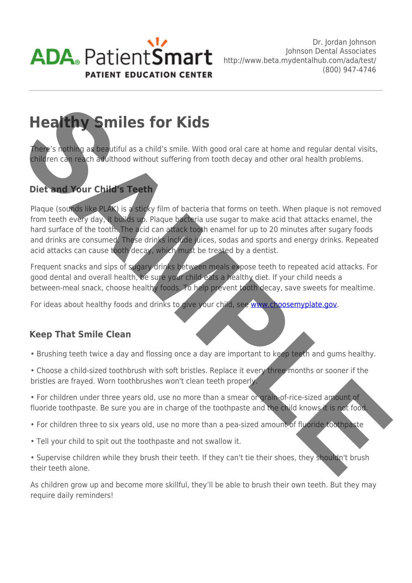

# **Healthy Smiles for Kids**

There's nothing as beautiful as a child's smile. With good oral care at home and regular dental visits, children can reach adulthood without suffering from tooth decay and other oral health problems.

## **Diet and Your Child's Teeth**

Plaque (sounds like PLAK) is a sticky film of bacteria that forms on teeth. When plaque is not removed from teeth every day, it builds up. Plaque bacteria use sugar to make acid that attacks enamel, the hard surface of the tooth. The acid can attack tooth enamel for up to 20 minutes after sugary foods and drinks are consumed. These drinks include juices, sodas and sports and energy drinks. Repeated acid attacks can cause tooth decay, which must be treated by a dentist. **SAM[P](http://www.choosemyplate.gov)LE STATE IS THE STATE IS THE SET IS A CONSIDERATION OF THE STATE IS A CONSIDERATION OF THE STATE IS A CONSIDERATION OF THE STATE IS A CONSIDERATION OF THE STATE IS A CONSIDERATION OF THE STATE IS A CONSIDERATION OF TH** 

Frequent snacks and sips of sugary drinks between meals expose teeth to repeated acid attacks. For good dental and overall health, be sure your child eats a healthy diet. If your child needs a between-meal snack, choose healthy foods. To help prevent tooth decay, save sweets for mealtime.

For ideas about healthy foods and drinks to give your child, see www.choosemyplate.gov.

## **Keep That Smile Clean**

- Brushing teeth twice a day and flossing once a day are important to keep teeth and gums healthy.
- Choose a child-sized toothbrush with soft bristles. Replace it every three months or sooner if the bristles are frayed. Worn toothbrushes won't clean teeth properly.
- For children under three years old, use no more than a smear or grain-of-rice-sized amount of fluoride toothpaste. Be sure you are in charge of the toothpaste and the child knows it is not food.
- For children three to six years old, use no more than a pea-sized amount of fluoride toothpaste
- Tell your child to spit out the toothpaste and not swallow it.
- Supervise children while they brush their teeth. If they can't tie their shoes, they shouldn't brush their teeth alone.

As children grow up and become more skillful, they'll be able to brush their own teeth. But they may require daily reminders!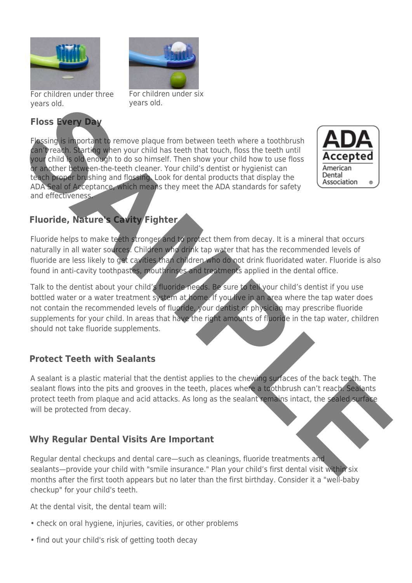

For children under three years old.

## **Floss Every Day**



For children under six years old.

Flossing is important to remove plaque from between teeth where a toothbrush can't reach. Starting when your child has teeth that touch, floss the teeth until your child is old enough to do so himself. Then show your child how to use floss or another between-the-teeth cleaner. Your child's dentist or hygienist can teach proper brushing and flossing. Look for dental products that display the ADA Seal of Acceptance, which means they meet the ADA standards for safety and effectiveness.



## **Fluoride, Nature's Cavity Fighter**

Fluoride helps to make teeth stronger and to protect them from decay. It is a mineral that occurs naturally in all water sources. Children who drink tap water that has the recommended levels of fluoride are less likely to get cavities than children who do not drink fluoridated water. Fluoride is also found in anti-cavity toothpastes, mouthrinses and treatments applied in the dental office.

Talk to the dentist about your child's fluoride needs. Be sure to tell your child's dentist if you use bottled water or a water treatment system at home. If you live in an area where the tap water does not contain the recommended levels of fluoride, your dentist or physician may prescribe fluoride supplements for your child. In areas that have the right amounts of fluoride in the tap water, children should not take fluoride supplements. The state of the state of the state of the state of the state of the state of the state of the state of the state of the state of the state of the state of the state of the state of the state of the state of the state of t

## **Protect Teeth with Sealants**

A sealant is a plastic material that the dentist applies to the chewing surfaces of the back teeth. The sealant flows into the pits and grooves in the teeth, places where a toothbrush can't reach. Sealants protect teeth from plaque and acid attacks. As long as the sealant remains intact, the sealed surface will be protected from decay.

## **Why Regular Dental Visits Are Important**

Regular dental checkups and dental care—such as cleanings, fluoride treatments and sealants—provide your child with "smile insurance." Plan your child's first dental visit within six months after the first tooth appears but no later than the first birthday. Consider it a "well-baby checkup" for your child's teeth.

At the dental visit, the dental team will:

- check on oral hygiene, injuries, cavities, or other problems
- find out your child's risk of getting tooth decay